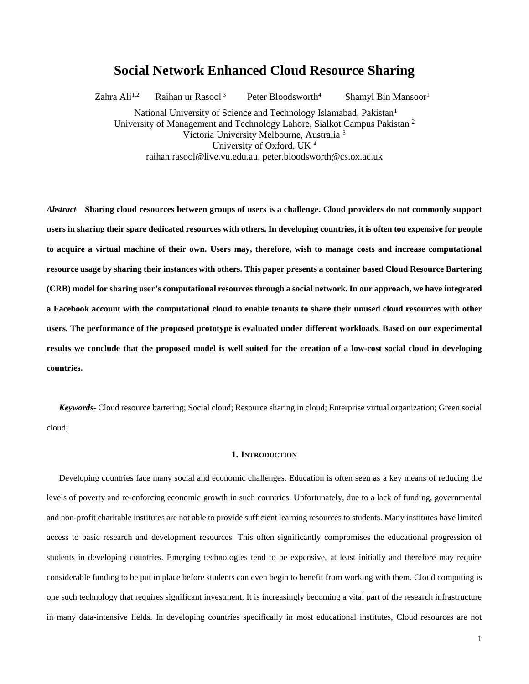# **Social Network Enhanced Cloud Resource Sharing**

Zahra Ali<sup>1,2</sup> Raihan ur Rasool<sup>3</sup> Peter Bloodsworth<sup>4</sup> Shamyl Bin Mansoor<sup>1</sup> National University of Science and Technology Islamabad, Pakistan<sup>1</sup> University of Management and Technology Lahore, Sialkot Campus Pakistan <sup>2</sup> Victoria University Melbourne, Australia <sup>3</sup> University of Oxford, UK <sup>4</sup> raihan.rasool@live.vu.edu.au, peter.bloodsworth@cs.ox.ac.uk

*Abstract*—**Sharing cloud resources between groups of users is a challenge. Cloud providers do not commonly support users in sharing their spare dedicated resources with others. In developing countries, it is often too expensive for people to acquire a virtual machine of their own. Users may, therefore, wish to manage costs and increase computational resource usage by sharing their instances with others. This paper presents a container based Cloud Resource Bartering (CRB) model for sharing user's computational resources through a social network. In our approach, we have integrated a Facebook account with the computational cloud to enable tenants to share their unused cloud resources with other users. The performance of the proposed prototype is evaluated under different workloads. Based on our experimental results we conclude that the proposed model is well suited for the creation of a low-cost social cloud in developing countries.**

*Keywords-* Cloud resource bartering; Social cloud; Resource sharing in cloud; Enterprise virtual organization; Green social cloud;

## **1. INTRODUCTION**

Developing countries face many social and economic challenges. Education is often seen as a key means of reducing the levels of poverty and re-enforcing economic growth in such countries. Unfortunately, due to a lack of funding, governmental and non-profit charitable institutes are not able to provide sufficient learning resources to students. Many institutes have limited access to basic research and development resources. This often significantly compromises the educational progression of students in developing countries. Emerging technologies tend to be expensive, at least initially and therefore may require considerable funding to be put in place before students can even begin to benefit from working with them. Cloud computing is one such technology that requires significant investment. It is increasingly becoming a vital part of the research infrastructure in many data-intensive fields. In developing countries specifically in most educational institutes, Cloud resources are not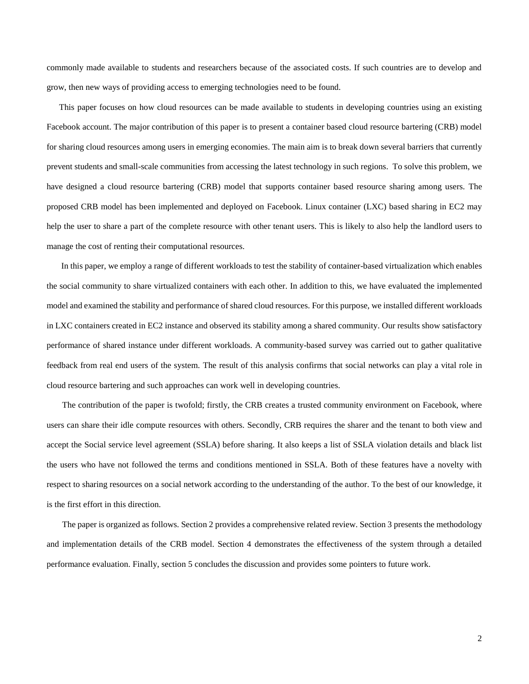commonly made available to students and researchers because of the associated costs. If such countries are to develop and grow, then new ways of providing access to emerging technologies need to be found.

This paper focuses on how cloud resources can be made available to students in developing countries using an existing Facebook account. The major contribution of this paper is to present a container based cloud resource bartering (CRB) model for sharing cloud resources among users in emerging economies. The main aim is to break down several barriers that currently prevent students and small-scale communities from accessing the latest technology in such regions. To solve this problem, we have designed a cloud resource bartering (CRB) model that supports container based resource sharing among users. The proposed CRB model has been implemented and deployed on Facebook. Linux container (LXC) based sharing in EC2 may help the user to share a part of the complete resource with other tenant users. This is likely to also help the landlord users to manage the cost of renting their computational resources.

In this paper, we employ a range of different workloads to test the stability of container-based virtualization which enables the social community to share virtualized containers with each other. In addition to this, we have evaluated the implemented model and examined the stability and performance of shared cloud resources. For this purpose, we installed different workloads in LXC containers created in EC2 instance and observed its stability among a shared community. Our results show satisfactory performance of shared instance under different workloads. A community-based survey was carried out to gather qualitative feedback from real end users of the system. The result of this analysis confirms that social networks can play a vital role in cloud resource bartering and such approaches can work well in developing countries.

The contribution of the paper is twofold; firstly, the CRB creates a trusted community environment on Facebook, where users can share their idle compute resources with others. Secondly, CRB requires the sharer and the tenant to both view and accept the Social service level agreement (SSLA) before sharing. It also keeps a list of SSLA violation details and black list the users who have not followed the terms and conditions mentioned in SSLA. Both of these features have a novelty with respect to sharing resources on a social network according to the understanding of the author. To the best of our knowledge, it is the first effort in this direction.

The paper is organized as follows. Section 2 provides a comprehensive related review. Section 3 presents the methodology and implementation details of the CRB model. Section 4 demonstrates the effectiveness of the system through a detailed performance evaluation. Finally, section 5 concludes the discussion and provides some pointers to future work.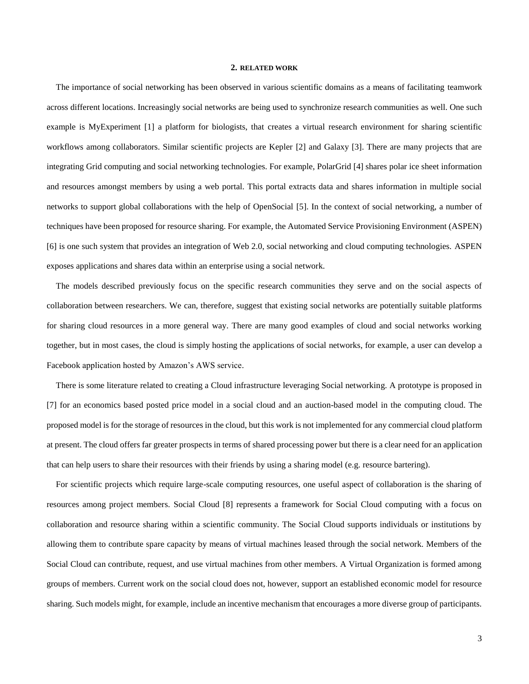# **2. RELATED WORK**

The importance of social networking has been observed in various scientific domains as a means of facilitating teamwork across different locations. Increasingly social networks are being used to synchronize research communities as well. One such example is MyExperiment [1] a platform for biologists, that creates a virtual research environment for sharing scientific workflows among collaborators. Similar scientific projects are Kepler [2] and Galaxy [3]. There are many projects that are integrating Grid computing and social networking technologies. For example, PolarGrid [4] shares polar ice sheet information and resources amongst members by using a web portal. This portal extracts data and shares information in multiple social networks to support global collaborations with the help of OpenSocial [5]. In the context of social networking, a number of techniques have been proposed for resource sharing. For example, the Automated Service Provisioning Environment (ASPEN) [6] is one such system that provides an integration of Web 2.0, social networking and cloud computing technologies. ASPEN exposes applications and shares data within an enterprise using a social network.

The models described previously focus on the specific research communities they serve and on the social aspects of collaboration between researchers. We can, therefore, suggest that existing social networks are potentially suitable platforms for sharing cloud resources in a more general way. There are many good examples of cloud and social networks working together, but in most cases, the cloud is simply hosting the applications of social networks, for example, a user can develop a Facebook application hosted by Amazon's AWS service.

There is some literature related to creating a Cloud infrastructure leveraging Social networking. A prototype is proposed in [7] for an economics based posted price model in a social cloud and an auction-based model in the computing cloud. The proposed model is for the storage of resources in the cloud, but this work is not implemented for any commercial cloud platform at present. The cloud offers far greater prospects in terms of shared processing power but there is a clear need for an application that can help users to share their resources with their friends by using a sharing model (e.g. resource bartering).

For scientific projects which require large-scale computing resources, one useful aspect of collaboration is the sharing of resources among project members. Social Cloud [8] represents a framework for Social Cloud computing with a focus on collaboration and resource sharing within a scientific community. The Social Cloud supports individuals or institutions by allowing them to contribute spare capacity by means of virtual machines leased through the social network. Members of the Social Cloud can contribute, request, and use virtual machines from other members. A Virtual Organization is formed among groups of members. Current work on the social cloud does not, however, support an established economic model for resource sharing. Such models might, for example, include an incentive mechanism that encourages a more diverse group of participants.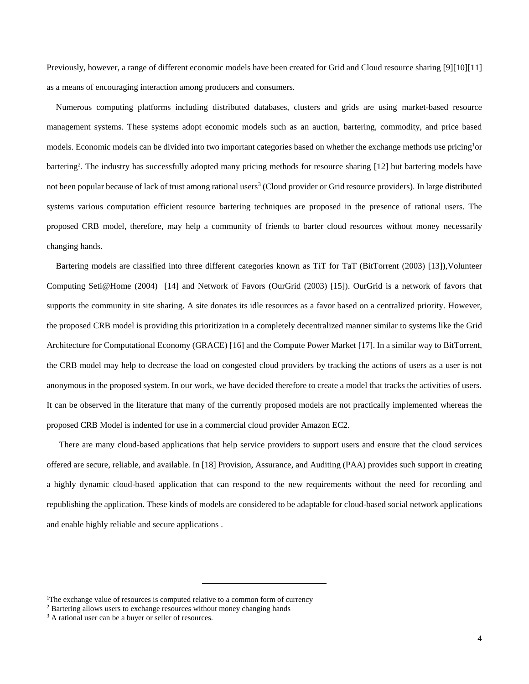Previously, however, a range of different economic models have been created for Grid and Cloud resource sharing [9][10][11] as a means of encouraging interaction among producers and consumers.

Numerous computing platforms including distributed databases, clusters and grids are using market-based resource management systems. These systems adopt economic models such as an auction, bartering, commodity, and price based models. Economic models can be divided into two important categories based on whether the exchange methods use pricing<sup>1</sup>or bartering<sup>2</sup>. The industry has successfully adopted many pricing methods for resource sharing [12] but bartering models have not been popular because of lack of trust among rational users<sup>3</sup> (Cloud provider or Grid resource providers). In large distributed systems various computation efficient resource bartering techniques are proposed in the presence of rational users. The proposed CRB model, therefore, may help a community of friends to barter cloud resources without money necessarily changing hands.

Bartering models are classified into three different categories known as TiT for TaT (BitTorrent (2003) [13]), Volunteer Computing Seti@Home (2004) [14] and Network of Favors (OurGrid (2003) [15]). OurGrid is a network of favors that supports the community in site sharing. A site donates its idle resources as a favor based on a centralized priority. However, the proposed CRB model is providing this prioritization in a completely decentralized manner similar to systems like the Grid Architecture for Computational Economy (GRACE) [16] and the Compute Power Market [17]. In a similar way to BitTorrent, the CRB model may help to decrease the load on congested cloud providers by tracking the actions of users as a user is not anonymous in the proposed system. In our work, we have decided therefore to create a model that tracks the activities of users. It can be observed in the literature that many of the currently proposed models are not practically implemented whereas the proposed CRB Model is indented for use in a commercial cloud provider Amazon EC2.

There are many cloud-based applications that help service providers to support users and ensure that the cloud services offered are secure, reliable, and available. In [18] Provision, Assurance, and Auditing (PAA) provides such support in creating a highly dynamic cloud-based application that can respond to the new requirements without the need for recording and republishing the application. These kinds of models are considered to be adaptable for cloud-based social network applications and enable highly reliable and secure applications .

 $\overline{\phantom{a}}$ 

<sup>&</sup>lt;sup>1</sup>The exchange value of resources is computed relative to a common form of currency

<sup>&</sup>lt;sup>2</sup> Bartering allows users to exchange resources without money changing hands

<sup>&</sup>lt;sup>3</sup> A rational user can be a buyer or seller of resources.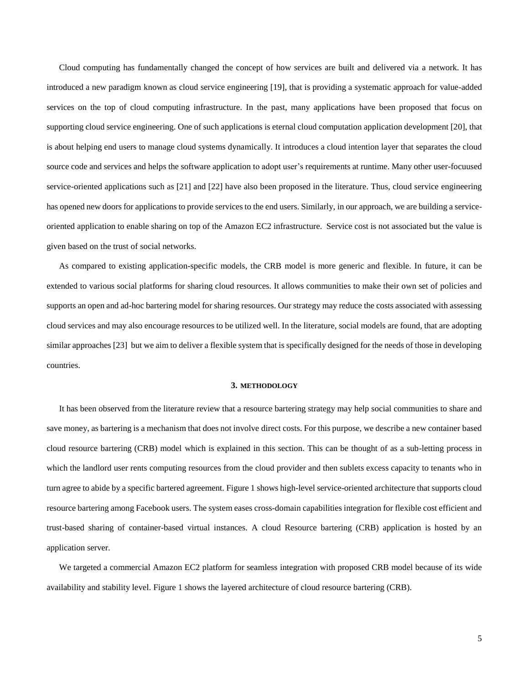Cloud computing has fundamentally changed the concept of how services are built and delivered via a network. It has introduced a new paradigm known as cloud service engineering [19], that is providing a systematic approach for value-added services on the top of cloud computing infrastructure. In the past, many applications have been proposed that focus on supporting cloud service engineering. One of such applications is eternal cloud computation application development [20], that is about helping end users to manage cloud systems dynamically. It introduces a cloud intention layer that separates the cloud source code and services and helps the software application to adopt user's requirements at runtime. Many other user-focuused service-oriented applications such as [21] and [22] have also been proposed in the literature. Thus, cloud service engineering has opened new doors for applications to provide services to the end users. Similarly, in our approach, we are building a serviceoriented application to enable sharing on top of the Amazon EC2 infrastructure. Service cost is not associated but the value is given based on the trust of social networks.

As compared to existing application-specific models, the CRB model is more generic and flexible. In future, it can be extended to various social platforms for sharing cloud resources. It allows communities to make their own set of policies and supports an open and ad-hoc bartering model for sharing resources. Our strategy may reduce the costs associated with assessing cloud services and may also encourage resources to be utilized well. In the literature, social models are found, that are adopting similar approaches [23] but we aim to deliver a flexible system that is specifically designed for the needs of those in developing countries.

#### **3. METHODOLOGY**

It has been observed from the literature review that a resource bartering strategy may help social communities to share and save money, as bartering is a mechanism that does not involve direct costs. For this purpose, we describe a new container based cloud resource bartering (CRB) model which is explained in this section. This can be thought of as a sub-letting process in which the landlord user rents computing resources from the cloud provider and then sublets excess capacity to tenants who in turn agree to abide by a specific bartered agreement. Figure 1 shows high-level service-oriented architecture that supports cloud resource bartering among Facebook users. The system eases cross-domain capabilities integration for flexible cost efficient and trust-based sharing of container-based virtual instances. A cloud Resource bartering (CRB) application is hosted by an application server.

We targeted a commercial Amazon EC2 platform for seamless integration with proposed CRB model because of its wide availability and stability level. Figure 1 shows the layered architecture of cloud resource bartering (CRB).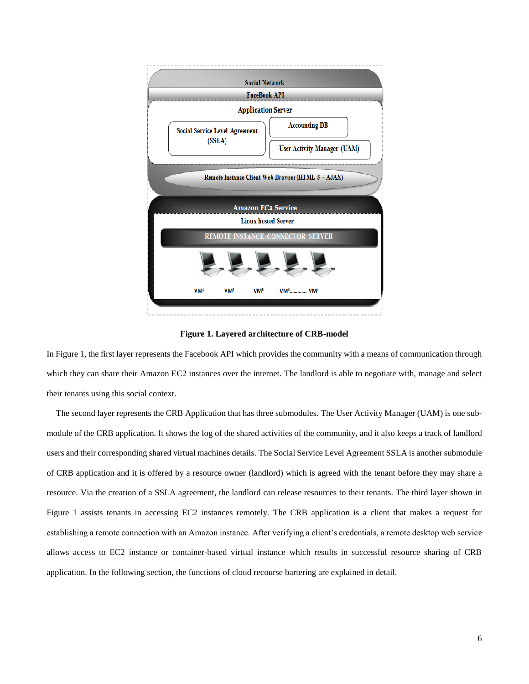



In Figure 1, the first layer represents the Facebook API which provides the community with a means of communication through which they can share their Amazon EC2 instances over the internet. The landlord is able to negotiate with, manage and select their tenants using this social context.

The second layer represents the CRB Application that has three submodules. The User Activity Manager (UAM) is one submodule of the CRB application. It shows the log of the shared activities of the community, and it also keeps a track of landlord users and their corresponding shared virtual machines details. The Social Service Level Agreement SSLA is another submodule of CRB application and it is offered by a resource owner (landlord) which is agreed with the tenant before they may share a resource. Via the creation of a SSLA agreement, the landlord can release resources to their tenants. The third layer shown in Figure 1 assists tenants in accessing EC2 instances remotely. The CRB application is a client that makes a request for establishing a remote connection with an Amazon instance. After verifying a client's credentials, a remote desktop web service allows access to EC2 instance or container-based virtual instance which results in successful resource sharing of CRB application. In the following section, the functions of cloud recourse bartering are explained in detail.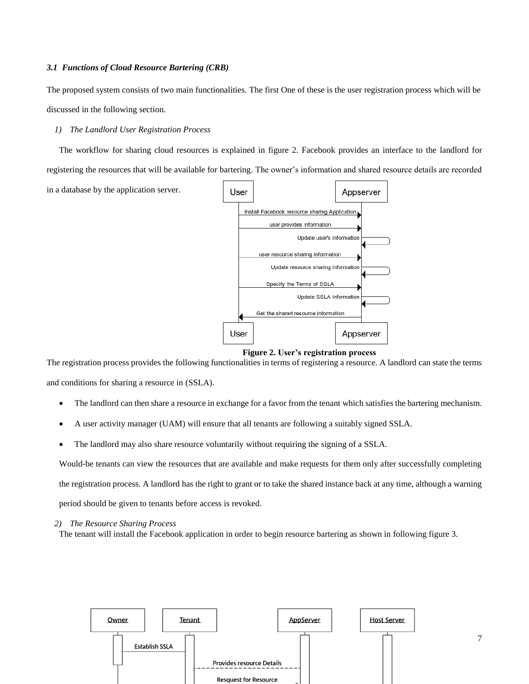## *3.1 Functions of Cloud Resource Bartering (CRB)*

The proposed system consists of two main functionalities. The first One of these is the user registration process which will be discussed in the following section.

*1) The Landlord User Registration Process*

The workflow for sharing cloud resources is explained in figure 2. Facebook provides an interface to the landlord for registering the resources that will be available for bartering. The owner's information and shared resource details are recorded in a database by the application server.



 **Figure 2. User's registration process**

The registration process provides the following functionalities in terms of registering a resource. A landlord can state the terms and conditions for sharing a resource in (SSLA).

- The landlord can then share a resource in exchange for a favor from the tenant which satisfies the bartering mechanism.
- A user activity manager (UAM) will ensure that all tenants are following a suitably signed SSLA.
- The landlord may also share resource voluntarily without requiring the signing of a SSLA.

Would-be tenants can view the resources that are available and make requests for them only after successfully completing the registration process. A landlord has the right to grant or to take the shared instance back at any time, although a warning period should be given to tenants before access is revoked.

## *2) The Resource Sharing Process*

The tenant will install the Facebook application in order to begin resource bartering as shown in following figure 3.

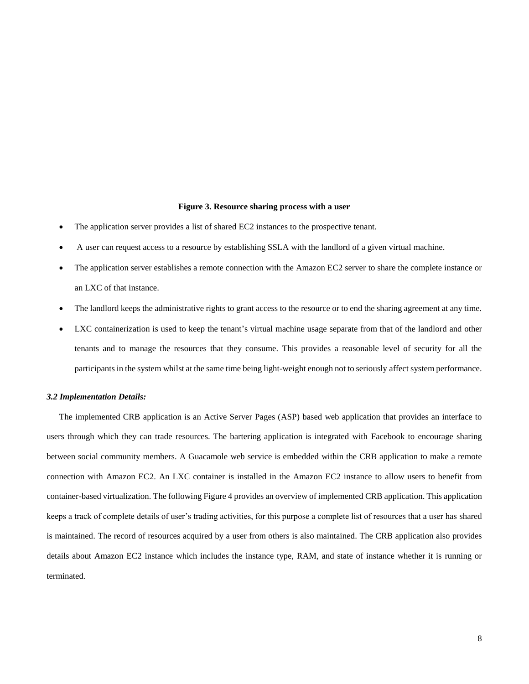#### **Figure 3. Resource sharing process with a user**

- The application server provides a list of shared EC2 instances to the prospective tenant.
- A user can request access to a resource by establishing SSLA with the landlord of a given virtual machine.
- The application server establishes a remote connection with the Amazon EC2 server to share the complete instance or an LXC of that instance.
- The landlord keeps the administrative rights to grant access to the resource or to end the sharing agreement at any time.
- LXC containerization is used to keep the tenant's virtual machine usage separate from that of the landlord and other tenants and to manage the resources that they consume. This provides a reasonable level of security for all the participants in the system whilst at the same time being light-weight enough not to seriously affect system performance.

## *3.2 Implementation Details:*

The implemented CRB application is an Active Server Pages (ASP) based web application that provides an interface to users through which they can trade resources. The bartering application is integrated with Facebook to encourage sharing between social community members. A Guacamole web service is embedded within the CRB application to make a remote connection with Amazon EC2. An LXC container is installed in the Amazon EC2 instance to allow users to benefit from container-based virtualization. The following Figure 4 provides an overview of implemented CRB application. This application keeps a track of complete details of user's trading activities, for this purpose a complete list of resources that a user has shared is maintained. The record of resources acquired by a user from others is also maintained. The CRB application also provides details about Amazon EC2 instance which includes the instance type, RAM, and state of instance whether it is running or terminated.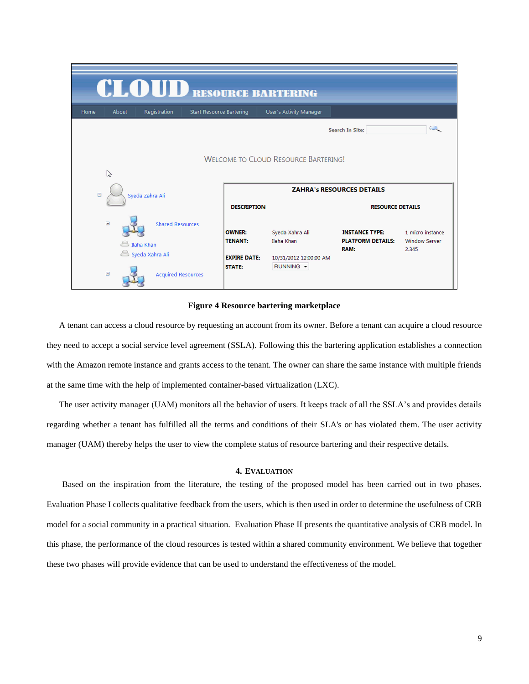| <b>CLOUD</b> RESOURCE BARTERING                                                                            |                                                                         |                                                                      |                                                           |                                                   |  |  |  |  |
|------------------------------------------------------------------------------------------------------------|-------------------------------------------------------------------------|----------------------------------------------------------------------|-----------------------------------------------------------|---------------------------------------------------|--|--|--|--|
| Registration<br><b>Start Resource Bartering</b><br>About<br>Home                                           |                                                                         | <b>User's Activity Manager</b>                                       |                                                           |                                                   |  |  |  |  |
|                                                                                                            |                                                                         |                                                                      | <b>Search In Site:</b>                                    |                                                   |  |  |  |  |
| <b>WELCOME TO CLOUD RESOURCE BARTERING!</b><br>$\mathbb{Z}$                                                |                                                                         |                                                                      |                                                           |                                                   |  |  |  |  |
|                                                                                                            | <b>ZAHRA's RESOURCES DETAILS</b>                                        |                                                                      |                                                           |                                                   |  |  |  |  |
| $\qquad \qquad \qquad \qquad \qquad \qquad \qquad \qquad \qquad \qquad$<br>Syeda Zahra Ali                 | <b>DESCRIPTION</b>                                                      |                                                                      | <b>RESOURCE DETAILS</b>                                   |                                                   |  |  |  |  |
| $\equiv$<br><b>Shared Resources</b><br><b>B</b> Ilaha Khan<br>Syeda Xahra Ali<br><b>Acquired Resources</b> | <b>OWNER:</b><br><b>TENANT:</b><br><b>EXPIRE DATE:</b><br><b>STATE:</b> | Syeda Xahra Ali<br>Ilaha Khan<br>10/31/2012 12:00:00 AM<br>RUNNING - | <b>INSTANCE TYPE:</b><br><b>PLATFORM DETAILS:</b><br>RAM: | 1 micro instance<br><b>Window Server</b><br>2.345 |  |  |  |  |

#### **Figure 4 Resource bartering marketplace**

A tenant can access a cloud resource by requesting an account from its owner. Before a tenant can acquire a cloud resource they need to accept a social service level agreement (SSLA). Following this the bartering application establishes a connection with the Amazon remote instance and grants access to the tenant. The owner can share the same instance with multiple friends at the same time with the help of implemented container-based virtualization (LXC).

The user activity manager (UAM) monitors all the behavior of users. It keeps track of all the SSLA's and provides details regarding whether a tenant has fulfilled all the terms and conditions of their SLA's or has violated them. The user activity manager (UAM) thereby helps the user to view the complete status of resource bartering and their respective details.

## **4. EVALUATION**

Based on the inspiration from the literature, the testing of the proposed model has been carried out in two phases. Evaluation Phase I collects qualitative feedback from the users, which is then used in order to determine the usefulness of CRB model for a social community in a practical situation. Evaluation Phase II presents the quantitative analysis of CRB model. In this phase, the performance of the cloud resources is tested within a shared community environment. We believe that together these two phases will provide evidence that can be used to understand the effectiveness of the model.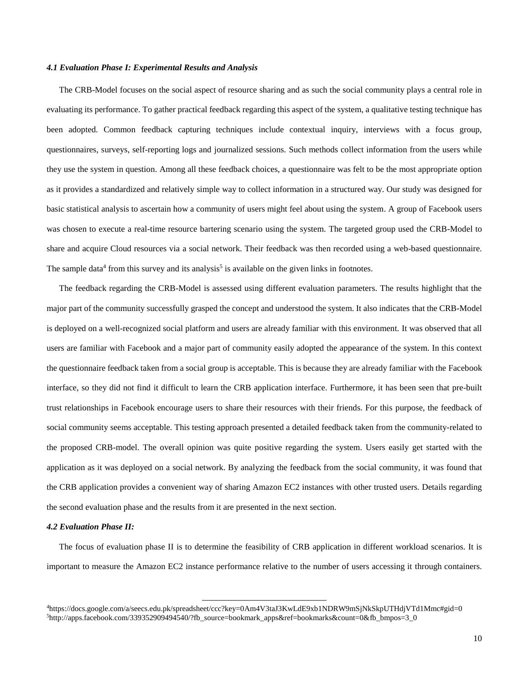## *4.1 Evaluation Phase I: Experimental Results and Analysis*

The CRB-Model focuses on the social aspect of resource sharing and as such the social community plays a central role in evaluating its performance. To gather practical feedback regarding this aspect of the system, a qualitative testing technique has been adopted. Common feedback capturing techniques include contextual inquiry, interviews with a focus group, questionnaires, surveys, self-reporting logs and journalized sessions. Such methods collect information from the users while they use the system in question. Among all these feedback choices, a questionnaire was felt to be the most appropriate option as it provides a standardized and relatively simple way to collect information in a structured way. Our study was designed for basic statistical analysis to ascertain how a community of users might feel about using the system. A group of Facebook users was chosen to execute a real-time resource bartering scenario using the system. The targeted group used the CRB-Model to share and acquire Cloud resources via a social network. Their feedback was then recorded using a web-based questionnaire. The sample data<sup>4</sup> from this survey and its analysis<sup>5</sup> is available on the given links in footnotes.

The feedback regarding the CRB-Model is assessed using different evaluation parameters. The results highlight that the major part of the community successfully grasped the concept and understood the system. It also indicates that the CRB-Model is deployed on a well-recognized social platform and users are already familiar with this environment. It was observed that all users are familiar with Facebook and a major part of community easily adopted the appearance of the system. In this context the questionnaire feedback taken from a social group is acceptable. This is because they are already familiar with the Facebook interface, so they did not find it difficult to learn the CRB application interface. Furthermore, it has been seen that pre-built trust relationships in Facebook encourage users to share their resources with their friends. For this purpose, the feedback of social community seems acceptable. This testing approach presented a detailed feedback taken from the community-related to the proposed CRB-model. The overall opinion was quite positive regarding the system. Users easily get started with the application as it was deployed on a social network. By analyzing the feedback from the social community, it was found that the CRB application provides a convenient way of sharing Amazon EC2 instances with other trusted users. Details regarding the second evaluation phase and the results from it are presented in the next section.

# *4.2 Evaluation Phase II:*

The focus of evaluation phase II is to determine the feasibility of CRB application in different workload scenarios. It is important to measure the Amazon EC2 instance performance relative to the number of users accessing it through containers.

 $\overline{a}$ 

<sup>4</sup>https://docs.google.com/a/seecs.edu.pk/spreadsheet/ccc?key=0Am4V3taJ3KwLdE9xb1NDRW9mSjNkSkpUTHdjVTd1Mmc#gid=0 5http://apps.facebook.com/339352909494540/?fb\_source=bookmark\_apps&ref=bookmarks&count=0&fb\_bmpos=3\_0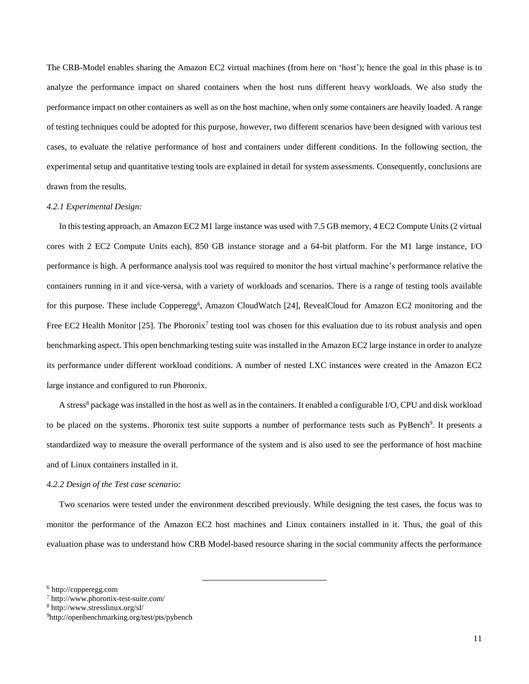The CRB-Model enables sharing the Amazon EC2 virtual machines (from here on 'host'); hence the goal in this phase is to analyze the performance impact on shared containers when the host runs different heavy workloads. We also study the performance impact on other containers as well as on the host machine, when only some containers are heavily loaded. A range of testing techniques could be adopted for this purpose, however, two different scenarios have been designed with various test cases, to evaluate the relative performance of host and containers under different conditions. In the following section, the experimental setup and quantitative testing tools are explained in detail for system assessments. Consequently, conclusions are drawn from the results.

#### *4.2.1 Experimental Design:*

In this testing approach, an Amazon EC2 M1 large instance was used with 7.5 GB memory, 4 EC2 Compute Units (2 virtual cores with 2 EC2 Compute Units each), 850 GB instance storage and a 64-bit platform. For the M1 large instance, I/O performance is high. A performance analysis tool was required to monitor the host virtual machine's performance relative the containers running in it and vice-versa, with a variety of workloads and scenarios. There is a range of testing tools available for this purpose. These include Copperegg<sup>6</sup>, Amazon CloudWatch [24], RevealCloud for Amazon EC2 monitoring and the Free EC2 Health Monitor [25]. The Phoronix<sup>7</sup> testing tool was chosen for this evaluation due to its robust analysis and open benchmarking aspect. This open benchmarking testing suite was installed in the Amazon EC2 large instance in order to analyze its performance under different workload conditions. A number of nested LXC instances were created in the Amazon EC2 large instance and configured to run Phoronix.

A stress<sup>8</sup> package was installed in the host as well as in the containers. It enabled a configurable I/O, CPU and disk workload to be placed on the systems. Phoronix test suite supports a number of performance tests such as PyBench<sup>9</sup>. It presents a standardized way to measure the overall performance of the system and is also used to see the performance of host machine and of Linux containers installed in it.

## *4.2.2 Design of the Test case scenario:*

Two scenarios were tested under the environment described previously. While designing the test cases, the focus was to monitor the performance of the Amazon EC2 host machines and Linux containers installed in it. Thus, the goal of this evaluation phase was to understand how CRB Model-based resource sharing in the social community affects the performance

 $\overline{\phantom{a}}$ 

<sup>6</sup> http://copperegg.com

<sup>7</sup> http://www.phoronix-test-suite.com/

<sup>8</sup> http://www.stresslinux.org/sl/

<sup>9</sup> http://openbenchmarking.org/test/pts/pybench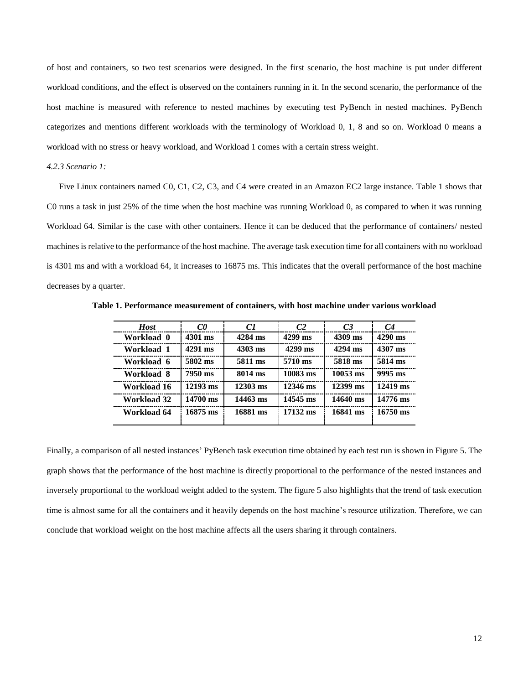of host and containers, so two test scenarios were designed. In the first scenario, the host machine is put under different workload conditions, and the effect is observed on the containers running in it. In the second scenario, the performance of the host machine is measured with reference to nested machines by executing test PyBench in nested machines. PyBench categorizes and mentions different workloads with the terminology of Workload 0, 1, 8 and so on. Workload 0 means a workload with no stress or heavy workload, and Workload 1 comes with a certain stress weight.

## *4.2.3 Scenario 1:*

Five Linux containers named C0, C1, C2, C3, and C4 were created in an Amazon EC2 large instance. Table 1 shows that C0 runs a task in just 25% of the time when the host machine was running Workload 0, as compared to when it was running Workload 64. Similar is the case with other containers. Hence it can be deduced that the performance of containers/ nested machines is relative to the performance of the host machine. The average task execution time for all containers with no workload is 4301 ms and with a workload 64, it increases to 16875 ms. This indicates that the overall performance of the host machine decreases by a quarter.

| <b>Host</b> | $C\theta$ | C1       | C <sub>2</sub> | C <sub>3</sub>     | C <sub>4</sub> |
|-------------|-----------|----------|----------------|--------------------|----------------|
| Workload 0  | 4301 ms   | 4284 ms  | 4299 ms        | 4309 ms            | 4290 ms        |
| Workload 1  | 4291 ms   | 4303 ms  | 4299 ms        | 4294 ms            | 4307 ms        |
| Workload 6  | 5802 ms   | 5811 ms  | 5710 ms        | 5818 ms            | 5814 ms        |
| Workload 8  | 7950 ms   | 8014 ms  | 10083 ms       | $10053 \text{ ms}$ | 9995 ms        |
| Workload 16 | 12193 ms  | 12303 ms | 12346 ms       | 12399 ms           | 12419 ms       |
| Workload 32 | 14700 ms  | 14463 ms | 14545 ms       | 14640 ms           | 14776 ms       |
| Workload 64 | 16875 ms  | 16881 ms | 17132 ms       | 16841 ms           | 16750 ms       |

**Table 1. Performance measurement of containers, with host machine under various workload** 

Finally, a comparison of all nested instances' PyBench task execution time obtained by each test run is shown in Figure 5. The graph shows that the performance of the host machine is directly proportional to the performance of the nested instances and inversely proportional to the workload weight added to the system. The figure 5 also highlights that the trend of task execution time is almost same for all the containers and it heavily depends on the host machine's resource utilization. Therefore, we can conclude that workload weight on the host machine affects all the users sharing it through containers.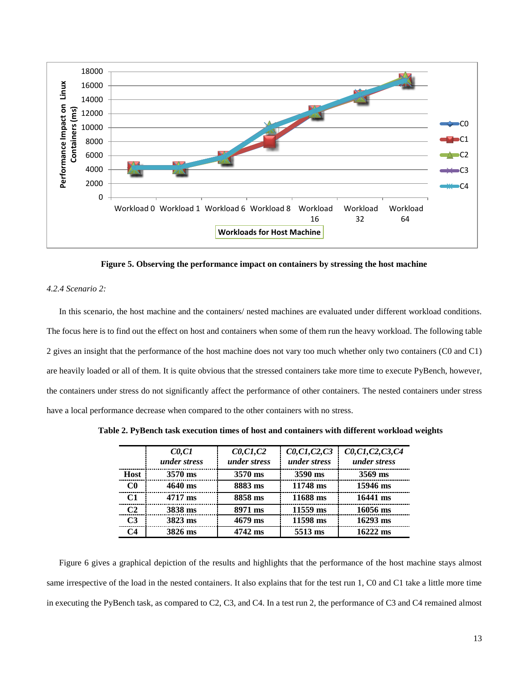

**Figure 5. Observing the performance impact on containers by stressing the host machine**

## *4.2.4 Scenario 2:*

In this scenario, the host machine and the containers/ nested machines are evaluated under different workload conditions. The focus here is to find out the effect on host and containers when some of them run the heavy workload. The following table 2 gives an insight that the performance of the host machine does not vary too much whether only two containers (C0 and C1) are heavily loaded or all of them. It is quite obvious that the stressed containers take more time to execute PyBench, however, the containers under stress do not significantly affect the performance of other containers. The nested containers under stress have a local performance decrease when compared to the other containers with no stress.

|                | C0, C1<br>under stress | C0, C1, C2<br>under stress | C0, C1, C2, C3<br>under stress | C0, C1, C2, C3, C4<br>under stress |
|----------------|------------------------|----------------------------|--------------------------------|------------------------------------|
| Host           | 3570 ms                | 3570 ms                    | 3590 ms                        | 3569 ms                            |
| C <sub>0</sub> | 4640 ms                | 8883 ms                    | 11748 ms                       | 15946 ms                           |
| C <sub>1</sub> | 4717 ms                | 8858 ms                    | 11688 ms                       | 16441 ms                           |
| C <sub>2</sub> | 3838 ms                | 8971 ms                    | 11559 ms                       | 16056 ms                           |
| C <sub>3</sub> | 3823 ms                | 4679 ms                    | 11598 ms                       | 16293 ms                           |
| C <sub>4</sub> | 3826 ms                | 4742 ms                    | 5513 ms                        | $16222$ ms                         |

**Table 2. PyBench task execution times of host and containers with different workload weights**

Figure 6 gives a graphical depiction of the results and highlights that the performance of the host machine stays almost same irrespective of the load in the nested containers. It also explains that for the test run 1, C0 and C1 take a little more time in executing the PyBench task, as compared to C2, C3, and C4. In a test run 2, the performance of C3 and C4 remained almost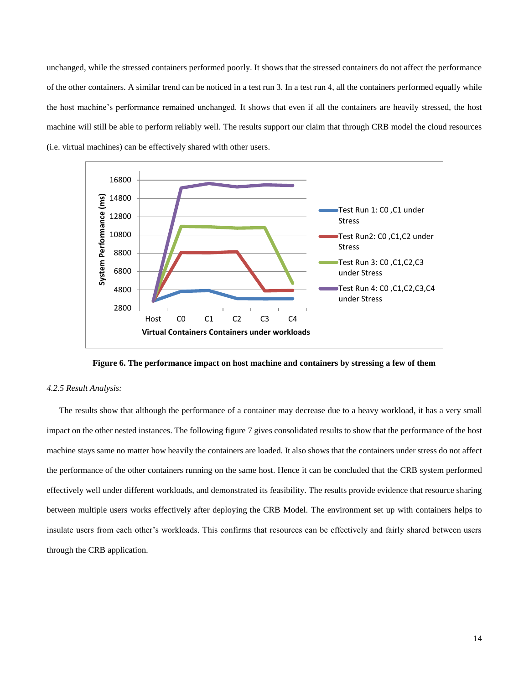unchanged, while the stressed containers performed poorly. It shows that the stressed containers do not affect the performance of the other containers. A similar trend can be noticed in a test run 3. In a test run 4, all the containers performed equally while the host machine's performance remained unchanged. It shows that even if all the containers are heavily stressed, the host machine will still be able to perform reliably well. The results support our claim that through CRB model the cloud resources (i.e. virtual machines) can be effectively shared with other users.



**Figure 6. The performance impact on host machine and containers by stressing a few of them**

# *4.2.5 Result Analysis:*

The results show that although the performance of a container may decrease due to a heavy workload, it has a very small impact on the other nested instances. The following figure 7 gives consolidated results to show that the performance of the host machine stays same no matter how heavily the containers are loaded. It also shows that the containers under stress do not affect the performance of the other containers running on the same host. Hence it can be concluded that the CRB system performed effectively well under different workloads, and demonstrated its feasibility. The results provide evidence that resource sharing between multiple users works effectively after deploying the CRB Model. The environment set up with containers helps to insulate users from each other's workloads. This confirms that resources can be effectively and fairly shared between users through the CRB application.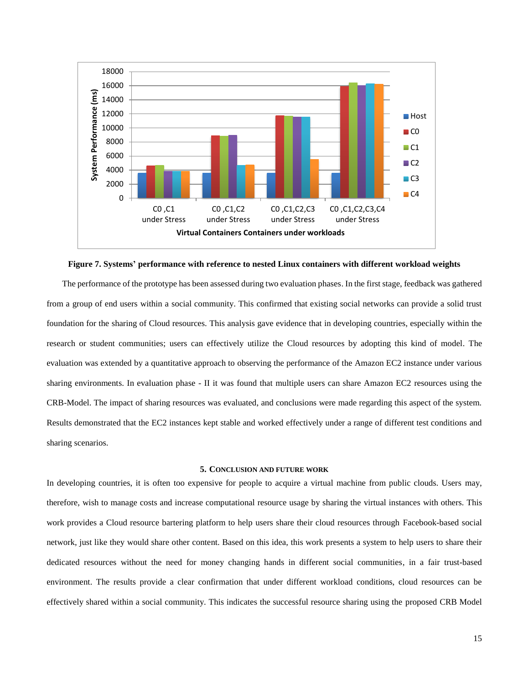

**Figure 7. Systems' performance with reference to nested Linux containers with different workload weights**

The performance of the prototype has been assessed during two evaluation phases. In the first stage, feedback was gathered from a group of end users within a social community. This confirmed that existing social networks can provide a solid trust foundation for the sharing of Cloud resources. This analysis gave evidence that in developing countries, especially within the research or student communities; users can effectively utilize the Cloud resources by adopting this kind of model. The evaluation was extended by a quantitative approach to observing the performance of the Amazon EC2 instance under various sharing environments. In evaluation phase - II it was found that multiple users can share Amazon EC2 resources using the CRB-Model. The impact of sharing resources was evaluated, and conclusions were made regarding this aspect of the system. Results demonstrated that the EC2 instances kept stable and worked effectively under a range of different test conditions and sharing scenarios.

## **5. CONCLUSION AND FUTURE WORK**

In developing countries, it is often too expensive for people to acquire a virtual machine from public clouds. Users may, therefore, wish to manage costs and increase computational resource usage by sharing the virtual instances with others. This work provides a Cloud resource bartering platform to help users share their cloud resources through Facebook-based social network, just like they would share other content. Based on this idea, this work presents a system to help users to share their dedicated resources without the need for money changing hands in different social communities, in a fair trust-based environment. The results provide a clear confirmation that under different workload conditions, cloud resources can be effectively shared within a social community. This indicates the successful resource sharing using the proposed CRB Model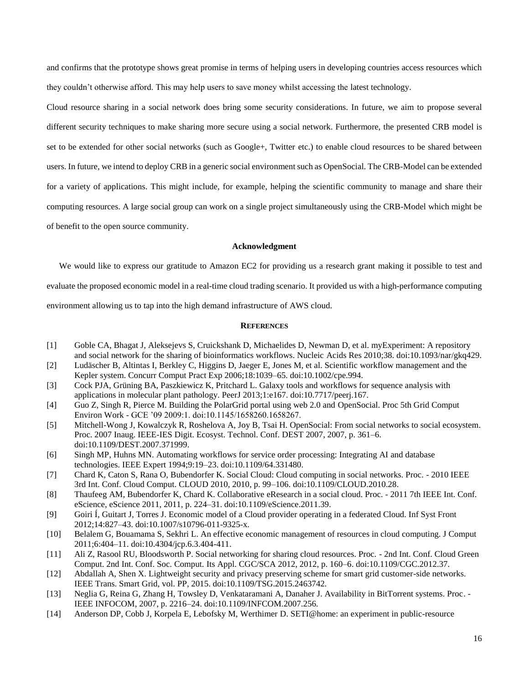and confirms that the prototype shows great promise in terms of helping users in developing countries access resources which they couldn't otherwise afford. This may help users to save money whilst accessing the latest technology.

Cloud resource sharing in a social network does bring some security considerations. In future, we aim to propose several different security techniques to make sharing more secure using a social network. Furthermore, the presented CRB model is set to be extended for other social networks (such as Google+, Twitter etc.) to enable cloud resources to be shared between users. In future, we intend to deploy CRB in a generic social environment such as OpenSocial. The CRB-Model can be extended for a variety of applications. This might include, for example, helping the scientific community to manage and share their computing resources. A large social group can work on a single project simultaneously using the CRB-Model which might be of benefit to the open source community.

## **Acknowledgment**

We would like to express our gratitude to Amazon EC2 for providing us a research grant making it possible to test and

evaluate the proposed economic model in a real-time cloud trading scenario. It provided us with a high-performance computing

environment allowing us to tap into the high demand infrastructure of AWS cloud.

## **REFERENCES**

- [1] Goble CA, Bhagat J, Aleksejevs S, Cruickshank D, Michaelides D, Newman D, et al. myExperiment: A repository and social network for the sharing of bioinformatics workflows. Nucleic Acids Res 2010;38. doi:10.1093/nar/gkq429.
- [2] Ludäscher B, Altintas I, Berkley C, Higgins D, Jaeger E, Jones M, et al. Scientific workflow management and the Kepler system. Concurr Comput Pract Exp 2006;18:1039–65. doi:10.1002/cpe.994.
- [3] Cock PJA, Grüning BA, Paszkiewicz K, Pritchard L. Galaxy tools and workflows for sequence analysis with applications in molecular plant pathology. PeerJ 2013;1:e167. doi:10.7717/peerj.167.
- [4] Guo Z, Singh R, Pierce M. Building the PolarGrid portal using web 2.0 and OpenSocial. Proc 5th Grid Comput Environ Work - GCE '09 2009:1. doi:10.1145/1658260.1658267.
- [5] Mitchell-Wong J, Kowalczyk R, Roshelova A, Joy B, Tsai H. OpenSocial: From social networks to social ecosystem. Proc. 2007 Inaug. IEEE-IES Digit. Ecosyst. Technol. Conf. DEST 2007, 2007, p. 361–6. doi:10.1109/DEST.2007.371999.
- [6] Singh MP, Huhns MN. Automating workflows for service order processing: Integrating AI and database technologies. IEEE Expert 1994;9:19–23. doi:10.1109/64.331480.
- [7] Chard K, Caton S, Rana O, Bubendorfer K. Social Cloud: Cloud computing in social networks. Proc. 2010 IEEE 3rd Int. Conf. Cloud Comput. CLOUD 2010, 2010, p. 99–106. doi:10.1109/CLOUD.2010.28.
- [8] Thaufeeg AM, Bubendorfer K, Chard K. Collaborative eResearch in a social cloud. Proc. 2011 7th IEEE Int. Conf. eScience, eScience 2011, 2011, p. 224–31. doi:10.1109/eScience.2011.39.
- [9] Goiri Í, Guitart J, Torres J. Economic model of a Cloud provider operating in a federated Cloud. Inf Syst Front 2012;14:827–43. doi:10.1007/s10796-011-9325-x.
- [10] Belalem G, Bouamama S, Sekhri L. An effective economic management of resources in cloud computing. J Comput 2011;6:404–11. doi:10.4304/jcp.6.3.404-411.
- [11] Ali Z, Rasool RU, Bloodsworth P. Social networking for sharing cloud resources. Proc. 2nd Int. Conf. Cloud Green Comput. 2nd Int. Conf. Soc. Comput. Its Appl. CGC/SCA 2012, 2012, p. 160–6. doi:10.1109/CGC.2012.37.
- [12] Abdallah A, Shen X. Lightweight security and privacy preserving scheme for smart grid customer-side networks. IEEE Trans. Smart Grid, vol. PP, 2015. doi:10.1109/TSG.2015.2463742.
- [13] Neglia G, Reina G, Zhang H, Towsley D, Venkataramani A, Danaher J. Availability in BitTorrent systems. Proc. IEEE INFOCOM, 2007, p. 2216–24. doi:10.1109/INFCOM.2007.256.
- [14] Anderson DP, Cobb J, Korpela E, Lebofsky M, Werthimer D. SETI@home: an experiment in public-resource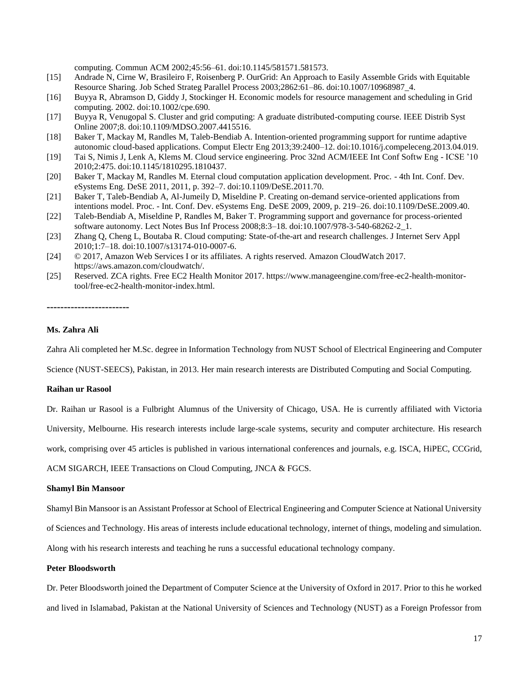computing. Commun ACM 2002;45:56–61. doi:10.1145/581571.581573.

- [15] Andrade N, Cirne W, Brasileiro F, Roisenberg P. OurGrid: An Approach to Easily Assemble Grids with Equitable Resource Sharing. Job Sched Strateg Parallel Process 2003;2862:61–86. doi:10.1007/10968987\_4.
- [16] Buyya R, Abramson D, Giddy J, Stockinger H. Economic models for resource management and scheduling in Grid computing. 2002. doi:10.1002/cpe.690.
- [17] Buyya R, Venugopal S. Cluster and grid computing: A graduate distributed-computing course. IEEE Distrib Syst Online 2007;8. doi:10.1109/MDSO.2007.4415516.
- [18] Baker T, Mackay M, Randles M, Taleb-Bendiab A. Intention-oriented programming support for runtime adaptive autonomic cloud-based applications. Comput Electr Eng 2013;39:2400–12. doi:10.1016/j.compeleceng.2013.04.019.
- [19] Tai S, Nimis J, Lenk A, Klems M. Cloud service engineering. Proc 32nd ACM/IEEE Int Conf Softw Eng ICSE '10 2010;2:475. doi:10.1145/1810295.1810437.
- [20] Baker T, Mackay M, Randles M. Eternal cloud computation application development. Proc. 4th Int. Conf. Dev. eSystems Eng. DeSE 2011, 2011, p. 392–7. doi:10.1109/DeSE.2011.70.
- [21] Baker T, Taleb-Bendiab A, Al-Jumeily D, Miseldine P. Creating on-demand service-oriented applications from intentions model. Proc. - Int. Conf. Dev. eSystems Eng. DeSE 2009, 2009, p. 219–26. doi:10.1109/DeSE.2009.40.
- [22] Taleb-Bendiab A, Miseldine P, Randles M, Baker T. Programming support and governance for process-oriented software autonomy. Lect Notes Bus Inf Process 2008;8:3–18. doi:10.1007/978-3-540-68262-2\_1.
- [23] Zhang Q, Cheng L, Boutaba R. Cloud computing: State-of-the-art and research challenges. J Internet Serv Appl 2010;1:7–18. doi:10.1007/s13174-010-0007-6.
- [24] © 2017, Amazon Web Services I or its affiliates. A rights reserved. Amazon CloudWatch 2017. https://aws.amazon.com/cloudwatch/.
- [25] Reserved. ZCA rights. Free EC2 Health Monitor 2017. https://www.manageengine.com/free-ec2-health-monitortool/free-ec2-health-monitor-index.html.

**------------------------**

# **Ms. Zahra Ali**

Zahra Ali completed her M.Sc. degree in Information Technology from NUST School of Electrical Engineering and Computer

Science (NUST-SEECS), Pakistan, in 2013. Her main research interests are Distributed Computing and Social Computing.

# **Raihan ur Rasool**

Dr. Raihan ur Rasool is a Fulbright Alumnus of the University of Chicago, USA. He is currently affiliated with Victoria

University, Melbourne. His research interests include large-scale systems, security and computer architecture. His research

work, comprising over 45 articles is published in various international conferences and journals, e.g. ISCA, HiPEC, CCGrid,

ACM SIGARCH, IEEE Transactions on Cloud Computing, JNCA & FGCS.

## **Shamyl Bin Mansoor**

Shamyl Bin Mansoor is an Assistant Professor at School of Electrical Engineering and Computer Science at National University

of Sciences and Technology. His areas of interests include educational technology, internet of things, modeling and simulation.

Along with his research interests and teaching he runs a successful educational technology company.

## **Peter Bloodsworth**

Dr. Peter Bloodsworth joined the Department of Computer Science at the University of Oxford in 2017. Prior to this he worked and lived in Islamabad, Pakistan at the National University of Sciences and Technology (NUST) as a Foreign Professor from